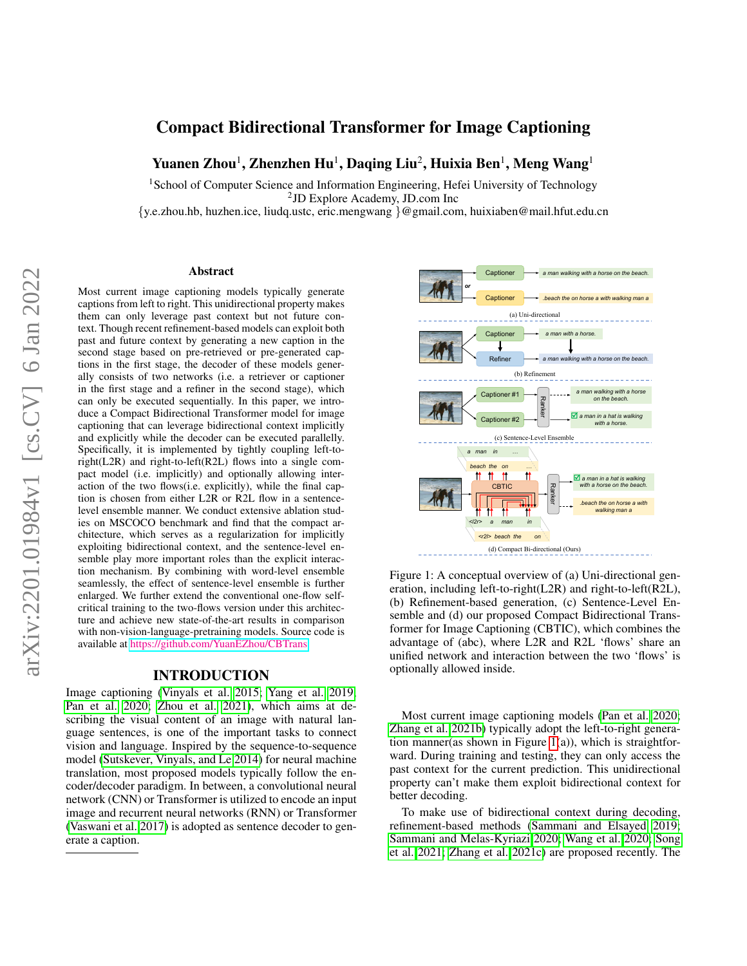# Compact Bidirectional Transformer for Image Captioning

Yuanen Zhou<sup>1</sup>, Zhenzhen Hu<sup>1</sup>, Daqing Liu<sup>2</sup>, Huixia Ben<sup>1</sup>, Meng Wang<sup>1</sup>

<sup>1</sup> School of Computer Science and Information Engineering, Hefei University of Technology 2 JD Explore Academy, JD.com Inc

{y.e.zhou.hb, huzhen.ice, liudq.ustc, eric.mengwang }@gmail.com, huixiaben@mail.hfut.edu.cn

#### Abstract

Most current image captioning models typically generate captions from left to right. This unidirectional property makes them can only leverage past context but not future context. Though recent refinement-based models can exploit both past and future context by generating a new caption in the second stage based on pre-retrieved or pre-generated captions in the first stage, the decoder of these models generally consists of two networks (i.e. a retriever or captioner in the first stage and a refiner in the second stage), which can only be executed sequentially. In this paper, we introduce a Compact Bidirectional Transformer model for image captioning that can leverage bidirectional context implicitly and explicitly while the decoder can be executed parallelly. Specifically, it is implemented by tightly coupling left-toright(L2R) and right-to-left(R2L) flows into a single compact model (i.e. implicitly) and optionally allowing interaction of the two flows(i.e. explicitly), while the final caption is chosen from either L2R or R2L flow in a sentencelevel ensemble manner. We conduct extensive ablation studies on MSCOCO benchmark and find that the compact architecture, which serves as a regularization for implicitly exploiting bidirectional context, and the sentence-level ensemble play more important roles than the explicit interaction mechanism. By combining with word-level ensemble seamlessly, the effect of sentence-level ensemble is further enlarged. We further extend the conventional one-flow selfcritical training to the two-flows version under this architecture and achieve new state-of-the-art results in comparison with non-vision-language-pretraining models. Source code is available at [https://github.com/YuanEZhou/CBTrans.](https://github.com/YuanEZhou/CBTrans)

#### INTRODUCTION

Image captioning [\(Vinyals et al. 2015;](#page-8-0) [Yang et al. 2019;](#page-9-0) [Pan et al. 2020;](#page-8-1) [Zhou et al. 2021\)](#page-9-1), which aims at describing the visual content of an image with natural language sentences, is one of the important tasks to connect vision and language. Inspired by the sequence-to-sequence model [\(Sutskever, Vinyals, and Le 2014\)](#page-8-2) for neural machine translation, most proposed models typically follow the encoder/decoder paradigm. In between, a convolutional neural network (CNN) or Transformer is utilized to encode an input image and recurrent neural networks (RNN) or Transformer [\(Vaswani et al. 2017\)](#page-8-3) is adopted as sentence decoder to generate a caption.

<span id="page-0-0"></span>

Figure 1: A conceptual overview of (a) Uni-directional generation, including left-to-right(L2R) and right-to-left(R2L), (b) Refinement-based generation, (c) Sentence-Level Ensemble and (d) our proposed Compact Bidirectional Transformer for Image Captioning (CBTIC), which combines the advantage of (abc), where L2R and R2L 'flows' share an unified network and interaction between the two 'flows' is optionally allowed inside.

Most current image captioning models [\(Pan et al. 2020;](#page-8-1) [Zhang et al. 2021b\)](#page-9-2) typically adopt the left-to-right generation manner(as shown in Figure [1\(](#page-0-0)a)), which is straightforward. During training and testing, they can only access the past context for the current prediction. This unidirectional property can't make them exploit bidirectional context for better decoding.

To make use of bidirectional context during decoding, refinement-based methods [\(Sammani and Elsayed 2019;](#page-8-4) [Sammani and Melas-Kyriazi 2020;](#page-8-5) [Wang et al. 2020;](#page-9-3) [Song](#page-8-6) [et al. 2021;](#page-8-6) [Zhang et al. 2021c\)](#page-9-4) are proposed recently. The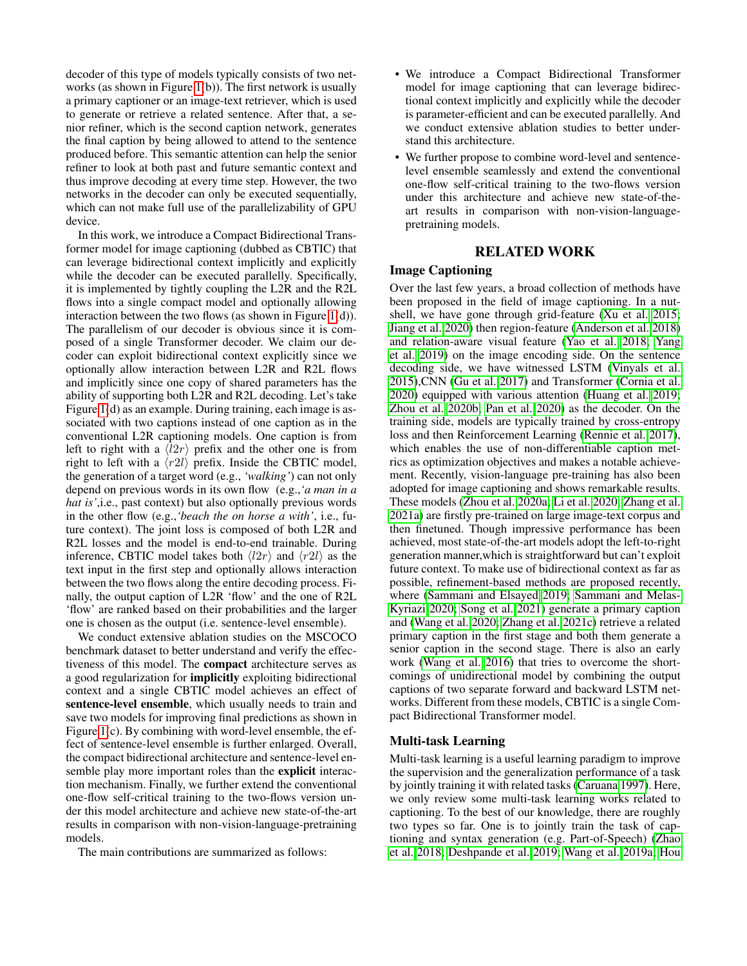decoder of this type of models typically consists of two networks (as shown in Figure [1\(](#page-0-0)b)). The first network is usually a primary captioner or an image-text retriever, which is used to generate or retrieve a related sentence. After that, a senior refiner, which is the second caption network, generates the final caption by being allowed to attend to the sentence produced before. This semantic attention can help the senior refiner to look at both past and future semantic context and thus improve decoding at every time step. However, the two networks in the decoder can only be executed sequentially, which can not make full use of the parallelizability of GPU device.

In this work, we introduce a Compact Bidirectional Transformer model for image captioning (dubbed as CBTIC) that can leverage bidirectional context implicitly and explicitly while the decoder can be executed parallelly. Specifically, it is implemented by tightly coupling the L2R and the R2L flows into a single compact model and optionally allowing interaction between the two flows (as shown in Figure  $1(d)$ ). The parallelism of our decoder is obvious since it is composed of a single Transformer decoder. We claim our decoder can exploit bidirectional context explicitly since we optionally allow interaction between L2R and R2L flows and implicitly since one copy of shared parameters has the ability of supporting both L2R and R2L decoding. Let's take Figure [1\(](#page-0-0)d) as an example. During training, each image is associated with two captions instead of one caption as in the conventional L2R captioning models. One caption is from left to right with a  $\langle l2r \rangle$  prefix and the other one is from right to left with a  $\langle r2l \rangle$  prefix. Inside the CBTIC model, the generation of a target word (e.g., *'walking'*) can not only depend on previous words in its own flow (e.g.,*'a man in a hat is'*,i.e., past context) but also optionally previous words in the other flow (e.g.,*'beach the on horse a with'*, i.e., future context). The joint loss is composed of both L2R and R2L losses and the model is end-to-end trainable. During inference, CBTIC model takes both  $\langle l2r \rangle$  and  $\langle r2l \rangle$  as the text input in the first step and optionally allows interaction between the two flows along the entire decoding process. Finally, the output caption of L2R 'flow' and the one of R2L 'flow' are ranked based on their probabilities and the larger one is chosen as the output (i.e. sentence-level ensemble).

We conduct extensive ablation studies on the MSCOCO benchmark dataset to better understand and verify the effectiveness of this model. The compact architecture serves as a good regularization for implicitly exploiting bidirectional context and a single CBTIC model achieves an effect of sentence-level ensemble, which usually needs to train and save two models for improving final predictions as shown in Figure [1\(](#page-0-0)c). By combining with word-level ensemble, the effect of sentence-level ensemble is further enlarged. Overall, the compact bidirectional architecture and sentence-level ensemble play more important roles than the explicit interaction mechanism. Finally, we further extend the conventional one-flow self-critical training to the two-flows version under this model architecture and achieve new state-of-the-art results in comparison with non-vision-language-pretraining models.

The main contributions are summarized as follows:

- We introduce a Compact Bidirectional Transformer model for image captioning that can leverage bidirectional context implicitly and explicitly while the decoder is parameter-efficient and can be executed parallelly. And we conduct extensive ablation studies to better understand this architecture.
- We further propose to combine word-level and sentencelevel ensemble seamlessly and extend the conventional one-flow self-critical training to the two-flows version under this architecture and achieve new state-of-theart results in comparison with non-vision-languagepretraining models.

# RELATED WORK

# Image Captioning

Over the last few years, a broad collection of methods have been proposed in the field of image captioning. In a nutshell, we have gone through grid-feature [\(Xu et al. 2015;](#page-9-5) [Jiang et al. 2020\)](#page-8-7) then region-feature [\(Anderson et al. 2018\)](#page-7-0) and relation-aware visual feature [\(Yao et al. 2018;](#page-9-6) [Yang](#page-9-0) [et al. 2019\)](#page-9-0) on the image encoding side. On the sentence decoding side, we have witnessed LSTM [\(Vinyals et al.](#page-8-0) [2015\)](#page-8-0),CNN [\(Gu et al. 2017\)](#page-8-8) and Transformer [\(Cornia et al.](#page-8-9) [2020\)](#page-8-9) equipped with various attention [\(Huang et al. 2019;](#page-8-10) [Zhou et al. 2020b;](#page-9-7) [Pan et al. 2020\)](#page-8-1) as the decoder. On the training side, models are typically trained by cross-entropy loss and then Reinforcement Learning [\(Rennie et al. 2017\)](#page-8-11), which enables the use of non-differentiable caption metrics as optimization objectives and makes a notable achievement. Recently, vision-language pre-training has also been adopted for image captioning and shows remarkable results. These models [\(Zhou et al. 2020a;](#page-9-8) [Li et al. 2020;](#page-8-12) [Zhang et al.](#page-9-9) [2021a\)](#page-9-9) are firstly pre-trained on large image-text corpus and then finetuned. Though impressive performance has been achieved, most state-of-the-art models adopt the left-to-right generation manner,which is straightforward but can't exploit future context. To make use of bidirectional context as far as possible, refinement-based methods are proposed recently, where [\(Sammani and Elsayed 2019;](#page-8-4) [Sammani and Melas-](#page-8-5)[Kyriazi 2020;](#page-8-5) [Song et al. 2021\)](#page-8-6) generate a primary caption and [\(Wang et al. 2020;](#page-9-3) [Zhang et al. 2021c\)](#page-9-4) retrieve a related primary caption in the first stage and both them generate a senior caption in the second stage. There is also an early work [\(Wang et al. 2016\)](#page-9-10) that tries to overcome the shortcomings of unidirectional model by combining the output captions of two separate forward and backward LSTM networks. Different from these models, CBTIC is a single Compact Bidirectional Transformer model.

#### Multi-task Learning

Multi-task learning is a useful learning paradigm to improve the supervision and the generalization performance of a task by jointly training it with related tasks [\(Caruana 1997\)](#page-7-1). Here, we only review some multi-task learning works related to captioning. To the best of our knowledge, there are roughly two types so far. One is to jointly train the task of captioning and syntax generation (e.g. Part-of-Speech) [\(Zhao](#page-9-11) [et al. 2018;](#page-9-11) [Deshpande et al. 2019;](#page-8-13) [Wang et al. 2019a;](#page-9-12) [Hou](#page-8-14)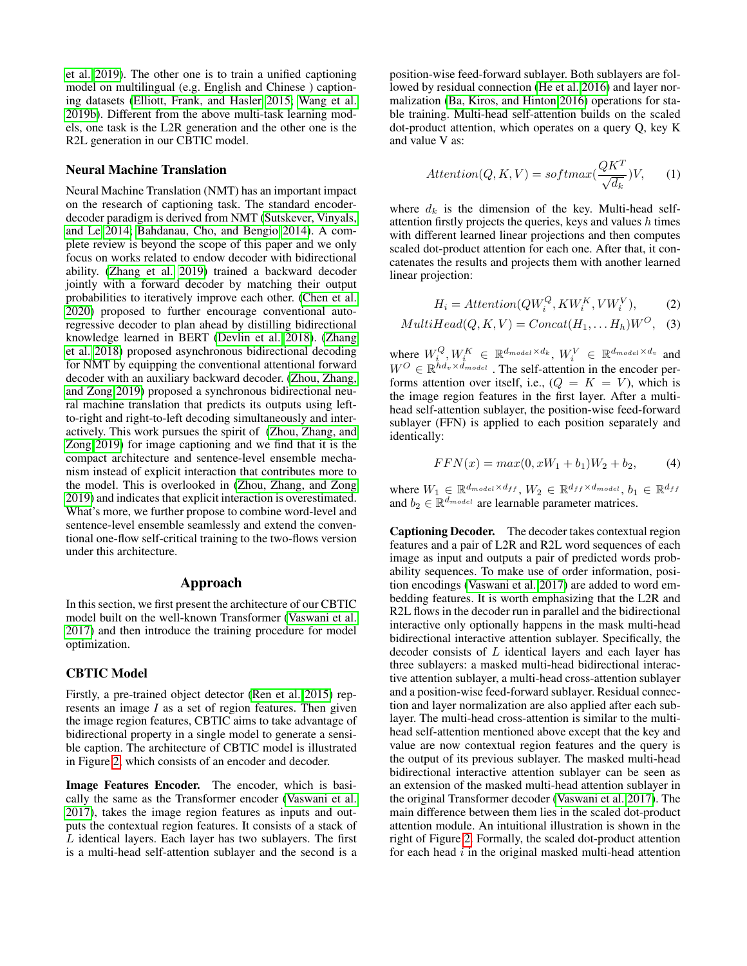[et al. 2019\)](#page-8-14). The other one is to train a unified captioning model on multilingual (e.g. English and Chinese ) captioning datasets [\(Elliott, Frank, and Hasler 2015;](#page-8-15) [Wang et al.](#page-9-13) [2019b\)](#page-9-13). Different from the above multi-task learning models, one task is the L2R generation and the other one is the R2L generation in our CBTIC model.

#### Neural Machine Translation

Neural Machine Translation (NMT) has an important impact on the research of captioning task. The standard encoderdecoder paradigm is derived from NMT [\(Sutskever, Vinyals,](#page-8-2) [and Le 2014;](#page-8-2) [Bahdanau, Cho, and Bengio 2014\)](#page-7-2). A complete review is beyond the scope of this paper and we only focus on works related to endow decoder with bidirectional ability. [\(Zhang et al. 2019\)](#page-9-14) trained a backward decoder jointly with a forward decoder by matching their output probabilities to iteratively improve each other. [\(Chen et al.](#page-8-16) [2020\)](#page-8-16) proposed to further encourage conventional autoregressive decoder to plan ahead by distilling bidirectional knowledge learned in BERT [\(Devlin et al. 2018\)](#page-8-17). [\(Zhang](#page-9-15) [et al. 2018\)](#page-9-15) proposed asynchronous bidirectional decoding for NMT by equipping the conventional attentional forward decoder with an auxiliary backward decoder. [\(Zhou, Zhang,](#page-9-16) [and Zong 2019\)](#page-9-16) proposed a synchronous bidirectional neural machine translation that predicts its outputs using leftto-right and right-to-left decoding simultaneously and interactively. This work pursues the spirit of [\(Zhou, Zhang, and](#page-9-16) [Zong 2019\)](#page-9-16) for image captioning and we find that it is the compact architecture and sentence-level ensemble mechanism instead of explicit interaction that contributes more to the model. This is overlooked in [\(Zhou, Zhang, and Zong](#page-9-16) [2019\)](#page-9-16) and indicates that explicit interaction is overestimated. What's more, we further propose to combine word-level and sentence-level ensemble seamlessly and extend the conventional one-flow self-critical training to the two-flows version under this architecture.

# Approach

In this section, we first present the architecture of our CBTIC model built on the well-known Transformer [\(Vaswani et al.](#page-8-3) [2017\)](#page-8-3) and then introduce the training procedure for model optimization.

# CBTIC Model

Firstly, a pre-trained object detector [\(Ren et al. 2015\)](#page-8-18) represents an image *I* as a set of region features. Then given the image region features, CBTIC aims to take advantage of bidirectional property in a single model to generate a sensible caption. The architecture of CBTIC model is illustrated in Figure [2,](#page-3-0) which consists of an encoder and decoder.

Image Features Encoder. The encoder, which is basically the same as the Transformer encoder [\(Vaswani et al.](#page-8-3) [2017\)](#page-8-3), takes the image region features as inputs and outputs the contextual region features. It consists of a stack of  $L$  identical layers. Each layer has two sublayers. The first is a multi-head self-attention sublayer and the second is a

position-wise feed-forward sublayer. Both sublayers are followed by residual connection [\(He et al. 2016\)](#page-8-19) and layer normalization [\(Ba, Kiros, and Hinton 2016\)](#page-7-3) operations for stable training. Multi-head self-attention builds on the scaled dot-product attention, which operates on a query Q, key K and value V as:

$$
Attention(Q, K, V) = softmax(\frac{QK^{T}}{\sqrt{d_k}})V, \qquad (1)
$$

where  $d_k$  is the dimension of the key. Multi-head selfattention firstly projects the queries, keys and values  $h$  times with different learned linear projections and then computes scaled dot-product attention for each one. After that, it concatenates the results and projects them with another learned linear projection:

$$
H_i =Attention(QW_i^Q, KW_i^K, VW_i^V), \tag{2}
$$

$$
MultiHead(Q, K, V) = Concat(H_1, \dots H_h)W^O, \quad (3)
$$

where  $W_i^Q, W_i^K \in \mathbb{R}^{d_{model} \times d_k}, W_i^V \in \mathbb{R}^{d_{model} \times d_v}$  and  $W^O \in \mathbb{R}^{\tilde{h}d_v \times \tilde{d}_{model}}$ . The self-attention in the encoder performs attention over itself, i.e.,  $(Q = K = V)$ , which is the image region features in the first layer. After a multihead self-attention sublayer, the position-wise feed-forward sublayer (FFN) is applied to each position separately and identically:

$$
FFN(x) = max(0, xW_1 + b_1)W_2 + b_2,
$$
 (4)

where  $W_1 \in \mathbb{R}^{d_{model} \times d_{ff}}$ ,  $W_2 \in \mathbb{R}^{d_{ff} \times d_{model}}$ ,  $b_1 \in \mathbb{R}^{d_{ff}}$ and  $b_2 \in \mathbb{R}^{d_{model}}$  are learnable parameter matrices.

Captioning Decoder. The decoder takes contextual region features and a pair of L2R and R2L word sequences of each image as input and outputs a pair of predicted words probability sequences. To make use of order information, position encodings [\(Vaswani et al. 2017\)](#page-8-3) are added to word embedding features. It is worth emphasizing that the L2R and R2L flows in the decoder run in parallel and the bidirectional interactive only optionally happens in the mask multi-head bidirectional interactive attention sublayer. Specifically, the decoder consists of L identical layers and each layer has three sublayers: a masked multi-head bidirectional interactive attention sublayer, a multi-head cross-attention sublayer and a position-wise feed-forward sublayer. Residual connection and layer normalization are also applied after each sublayer. The multi-head cross-attention is similar to the multihead self-attention mentioned above except that the key and value are now contextual region features and the query is the output of its previous sublayer. The masked multi-head bidirectional interactive attention sublayer can be seen as an extension of the masked multi-head attention sublayer in the original Transformer decoder [\(Vaswani et al. 2017\)](#page-8-3). The main difference between them lies in the scaled dot-product attention module. An intuitional illustration is shown in the right of Figure [2.](#page-3-0) Formally, the scaled dot-product attention for each head  $i$  in the original masked multi-head attention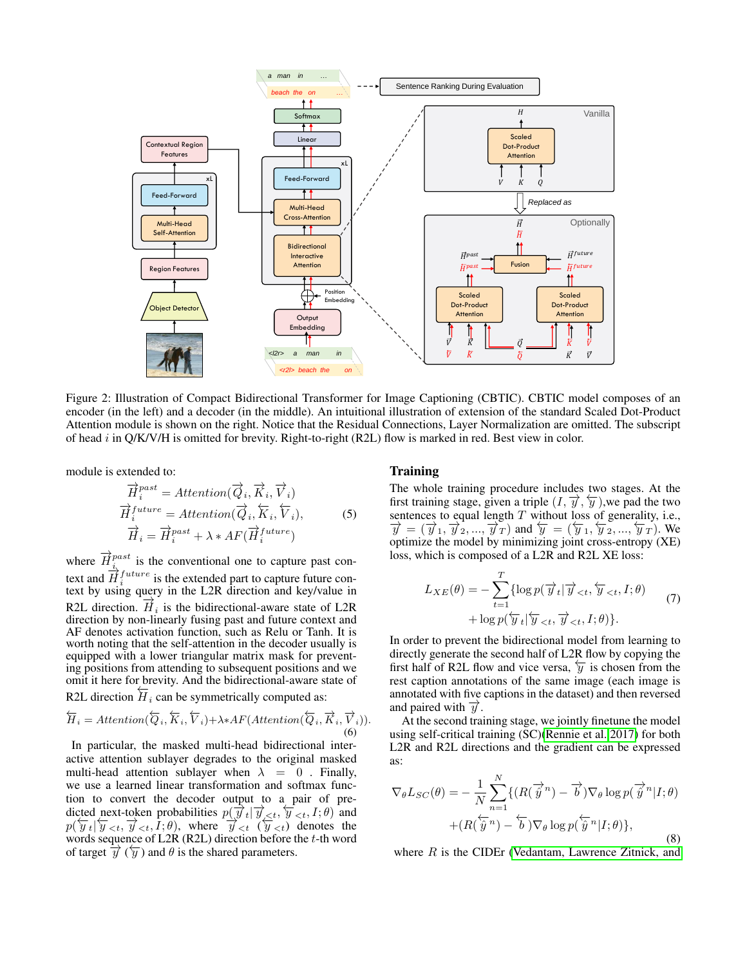<span id="page-3-0"></span>

Figure 2: Illustration of Compact Bidirectional Transformer for Image Captioning (CBTIC). CBTIC model composes of an encoder (in the left) and a decoder (in the middle). An intuitional illustration of extension of the standard Scaled Dot-Product Attention module is shown on the right. Notice that the Residual Connections, Layer Normalization are omitted. The subscript of head i in  $Q/K/V/H$  is omitted for brevity. Right-to-right (R2L) flow is marked in red. Best view in color.

module is extended to:

$$
\overrightarrow{H}_{i}^{past} = Attention(\overrightarrow{Q}_{i}, \overrightarrow{K}_{i}, \overrightarrow{V}_{i})
$$
\n
$$
\overrightarrow{H}_{i}^{future} = Attention(\overrightarrow{Q}_{i}, \overleftarrow{K}_{i}, \overleftarrow{V}_{i}),
$$
\n
$$
\overrightarrow{H}_{i} = \overrightarrow{H}_{i}^{past} + \lambda * AF(\overrightarrow{H}_{i}^{future})
$$
\n(5)

where  $\overrightarrow{H}_{i}^{past}$  is the conventional one to capture past context and  $\overrightarrow{H}_i^{future}$  is the extended part to capture future context by using query in the L2R direction and key/value in R2L direction.  $\vec{H}_i$  is the bidirectional-aware state of L2R direction by non-linearly fusing past and future context and AF denotes activation function, such as Relu or Tanh. It is worth noting that the self-attention in the decoder usually is equipped with a lower triangular matrix mask for preventing positions from attending to subsequent positions and we omit it here for brevity. And the bidirectional-aware state of R2L direction  $\overline{H}_i$  can be symmetrically computed as:

$$
\overleftarrow{H}_i =Attention(\overleftarrow{Q}_i, \overleftarrow{K}_i, \overleftarrow{V}_i) + \lambda * AF(Attention(\overleftarrow{Q}_i, \overrightarrow{K}_i, \overrightarrow{V}_i)).
$$
\n(6)

In particular, the masked multi-head bidirectional interactive attention sublayer degrades to the original masked multi-head attention sublayer when  $\lambda = 0$ . Finally, we use a learned linear transformation and softmax function to convert the decoder output to a pair of predicted next-token probabilities  $p(\vec{y}_t | \vec{y}_{ and$  $p(\overline{y}_t | \overline{y}_{\leq t}, \overline{y}_{\leq t}, I; \theta)$ , where  $\overline{y}_{\leq t}$  ( $\overline{y}_{\leq t}$ ) denotes the words sequence of L2R (R2L) direction before the  $t$ -th word of target  $\overrightarrow{y}$  ( $\overleftarrow{y}$ ) and  $\theta$  is the shared parameters.

### Training

The whole training procedure includes two stages. At the first training stage, given a triple  $(I, \overrightarrow{y}, \overleftarrow{y})$ , we pad the two sentences to equal length  $T$  without loss of generality, i.e.,  $\overrightarrow{y} = (\overrightarrow{y}_1, \overrightarrow{y}_2, ..., \overrightarrow{y}_T)$  and  $\overleftarrow{y} = (\overleftarrow{y}_1, \overleftarrow{y}_2, ..., \overleftarrow{y}_T)$ . We optimize the model by minimizing joint cross-entropy (XE) loss, which is composed of a L2R and R2L XE loss:

$$
L_{XE}(\theta) = -\sum_{t=1}^{T} \{ \log p(\overrightarrow{y}_t | \overrightarrow{y}_{\n(7)
$$

In order to prevent the bidirectional model from learning to directly generate the second half of L2R flow by copying the first half of R2L flow and vice versa,  $\overline{y}$  is chosen from the rest caption annotations of the same image (each image is annotated with five captions in the dataset) and then reversed and paired with  $\overline{y}$ .

At the second training stage, we jointly finetune the model using self-critical training (SC)[\(Rennie et al. 2017\)](#page-8-11) for both L2R and R2L directions and the gradient can be expressed as:

$$
\nabla_{\theta} L_{SC}(\theta) = -\frac{1}{N} \sum_{n=1}^{N} \{ (R(\overrightarrow{\hat{y}}^n) - \overrightarrow{b}) \nabla_{\theta} \log p(\overrightarrow{\hat{y}}^n | I; \theta) + (R(\overleftarrow{\hat{y}}^n) - \overleftarrow{b}) \nabla_{\theta} \log p(\overleftarrow{\hat{y}}^n | I; \theta) \},
$$
\n(8)

where  $R$  is the CIDEr [\(Vedantam, Lawrence Zitnick, and](#page-8-20)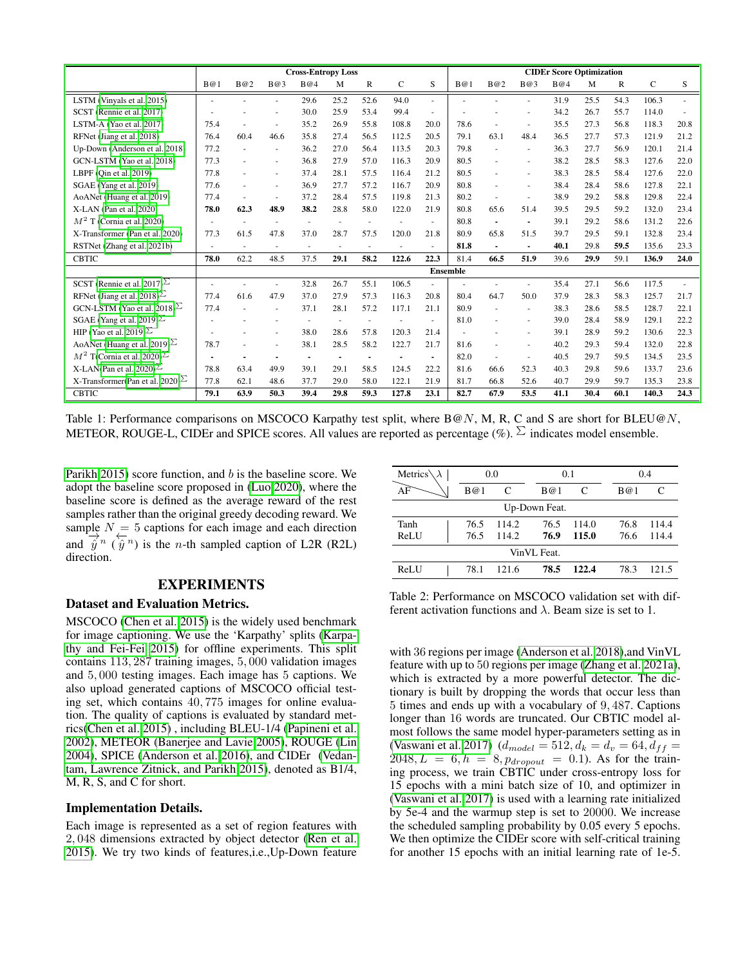<span id="page-4-1"></span>

|                                       | <b>Cross-Entropy Loss</b> |      |      |                      |      |      |       | <b>CIDEr Score Optimization</b> |                 |                          |                |      |      |      |              |      |
|---------------------------------------|---------------------------|------|------|----------------------|------|------|-------|---------------------------------|-----------------|--------------------------|----------------|------|------|------|--------------|------|
|                                       | B@1                       | B@2  | B@3  | B@4                  | M    | R    | C     | S                               | B@1             | B@2                      | B@3            | B@4  | M    | R    | $\mathbf{C}$ | S    |
| LSTM (Vinyals et al. 2015)            |                           |      |      | 29.6                 | 25.2 | 52.6 | 94.0  | $\overline{\phantom{a}}$        |                 |                          |                | 31.9 | 25.5 | 54.3 | 106.3        |      |
| SCST (Rennie et al. 2017)             |                           |      |      | 30.0                 | 25.9 | 53.4 | 99.4  |                                 |                 |                          |                | 34.2 | 26.7 | 55.7 | 114.0        |      |
| LSTM-A (Yao et al. 2017)              | 75.4                      |      |      | 35.2                 | 26.9 | 55.8 | 108.8 | 20.0                            | 78.6            |                          | $\sim$         | 35.5 | 27.3 | 56.8 | 118.3        | 20.8 |
| RFNet (Jiang et al. 2018)             | 76.4                      | 60.4 | 46.6 | 35.8                 | 27.4 | 56.5 | 112.5 | 20.5                            | 79.1            | 63.1                     | 48.4           | 36.5 | 27.7 | 57.3 | 121.9        | 21.2 |
| Up-Down (Anderson et al. 2018)        | 77.2                      |      |      | 36.2                 | 27.0 | 56.4 | 113.5 | 20.3                            | 79.8            |                          | $\sim$         | 36.3 | 27.7 | 56.9 | 120.1        | 21.4 |
| GCN-LSTM (Yao et al. 2018)            | 77.3                      |      |      | 36.8                 | 27.9 | 57.0 | 116.3 | 20.9                            | 80.5            |                          | $\sim$         | 38.2 | 28.5 | 58.3 | 127.6        | 22.0 |
| LBPF $(Qin et al. 2019)$              | 77.8                      |      |      | 37.4                 | 28.1 | 57.5 | 116.4 | 21.2                            | 80.5            |                          | $\sim$         | 38.3 | 28.5 | 58.4 | 127.6        | 22.0 |
| SGAE (Yang et al. 2019)               | 77.6                      |      |      | 36.9                 | 27.7 | 57.2 | 116.7 | 20.9                            | 80.8            |                          | $\sim$         | 38.4 | 28.4 | 58.6 | 127.8        | 22.1 |
| AoANet (Huang et al. 2019)            | 77.4                      |      |      | 37.2                 | 28.4 | 57.5 | 119.8 | 21.3                            | 80.2            |                          |                | 38.9 | 29.2 | 58.8 | 129.8        | 22.4 |
| X-LAN (Pan et al. 2020)               | 78.0                      | 62.3 | 48.9 | 38.2                 | 28.8 | 58.0 | 122.0 | 21.9                            | 80.8            | 65.6                     | 51.4           | 39.5 | 29.5 | 59.2 | 132.0        | 23.4 |
| $M2$ T (Cornia et al. 2020)           | $\overline{a}$            | ÷.   |      | $\ddot{\phantom{1}}$ |      |      |       | $\overline{\phantom{a}}$        | 80.8            | $\overline{\phantom{a}}$ | $\blacksquare$ | 39.1 | 29.2 | 58.6 | 131.2        | 22.6 |
| X-Transformer (Pan et al. 2020)       | 77.3                      | 61.5 | 47.8 | 37.0                 | 28.7 | 57.5 | 120.0 | 21.8                            | 80.9            | 65.8                     | 51.5           | 39.7 | 29.5 | 59.1 | 132.8        | 23.4 |
| RSTNet (Zhang et al. 2021b)           |                           |      |      | $\sim$               |      |      |       |                                 | 81.8            |                          | $\blacksquare$ | 40.1 | 29.8 | 59.5 | 135.6        | 23.3 |
| <b>CBTIC</b>                          | 78.0                      | 62.2 | 48.5 | 37.5                 | 29.1 | 58.2 | 122.6 | 22.3                            | 81.4            | 66.5                     | 51.9           | 39.6 | 29.9 | 59.1 | 136.9        | 24.0 |
|                                       |                           |      |      |                      |      |      |       |                                 | <b>Ensemble</b> |                          |                |      |      |      |              |      |
| SCST (Rennie et al. 2017) $\geq$      |                           |      |      | 32.8                 | 26.7 | 55.1 | 106.5 | ä,                              |                 |                          |                | 35.4 | 27.1 | 56.6 | 117.5        |      |
| RFNet (Jiang et al. 2018) $\geq$      | 77.4                      | 61.6 | 47.9 | 37.0                 | 27.9 | 57.3 | 116.3 | 20.8                            | 80.4            | 64.7                     | 50.0           | 37.9 | 28.3 | 58.3 | 125.7        | 21.7 |
| GCN-LSTM (Yao et al. 2018) $\sum$     | 77.4                      |      |      | 37.1                 | 28.1 | 57.2 | 117.1 | 21.1                            | 80.9            |                          | $\sim$         | 38.3 | 28.6 | 58.5 | 128.7        | 22.1 |
| SGAE (Yang et al. 2019) $\Sigma$      |                           |      |      |                      |      |      |       | $\overline{a}$                  | 81.0            |                          | $\sim$         | 39.0 | 28.4 | 58.9 | 129.1        | 22.2 |
| HIP (Yao et al. 2019) $\sum$          |                           |      |      | 38.0                 | 28.6 | 57.8 | 120.3 | 21.4                            |                 |                          | $\sim$         | 39.1 | 28.9 | 59.2 | 130.6        | 22.3 |
| AoANet (Huang et al. 2019) $\sum$     | 78.7                      |      |      | 38.1                 | 28.5 | 58.2 | 122.7 | 21.7                            | 81.6            |                          | $\sim$         | 40.2 | 29.3 | 59.4 | 132.0        | 22.8 |
| $M^2$ T(Cornia et al. 2020) $\Sigma$  |                           |      |      |                      |      |      |       | $\blacksquare$                  | 82.0            |                          | $\sim$         | 40.5 | 29.7 | 59.5 | 134.5        | 23.5 |
| X-LAN(Pan et al. 2020) $\Sigma$       | 78.8                      | 63.4 | 49.9 | 39.1                 | 29.1 | 58.5 | 124.5 | 22.2                            | 81.6            | 66.6                     | 52.3           | 40.3 | 29.8 | 59.6 | 133.7        | 23.6 |
| X-Transformer(Pan et al. 2020) $\geq$ | 77.8                      | 62.1 | 48.6 | 37.7                 | 29.0 | 58.0 | 122.1 | 21.9                            | 81.7            | 66.8                     | 52.6           | 40.7 | 29.9 | 59.7 | 135.3        | 23.8 |
| <b>CBTIC</b>                          | 79.1                      | 63.9 | 50.3 | 39.4                 | 29.8 | 59.3 | 127.8 | 23.1                            | 82.7            | 67.9                     | 53.5           | 41.1 | 30.4 | 60.1 | 140.3        | 24.3 |

Table 1: Performance comparisons on MSCOCO Karpathy test split, where B@N, M, R, C and S are short for BLEU@N, METEOR, ROUGE-L, CIDEr and SPICE scores. All values are reported as percentage (%).  $\Sigma$  indicates model ensemble.

[Parikh 2015\)](#page-8-20) score function, and b is the baseline score. We adopt the baseline score proposed in [\(Luo 2020\)](#page-8-23), where the baseline score is defined as the average reward of the rest samples rather than the original greedy decoding reward. We sample  $N = 5$  captions for each image and each direction and  $\overline{\hat{y}}^n$  ( $\overline{\hat{y}}^n$ ) is the *n*-th sampled caption of L2R (R2L) direction.

### EXPERIMENTS

# Dataset and Evaluation Metrics.

MSCOCO [\(Chen et al. 2015\)](#page-7-4) is the widely used benchmark for image captioning. We use the 'Karpathy' splits [\(Karpa](#page-8-24)[thy and Fei-Fei 2015\)](#page-8-24) for offline experiments. This split contains 113, 287 training images, 5, 000 validation images and 5, 000 testing images. Each image has 5 captions. We also upload generated captions of MSCOCO official testing set, which contains 40, 775 images for online evaluation. The quality of captions is evaluated by standard metrics[\(Chen et al. 2015\)](#page-7-4) , including BLEU-1/4 [\(Papineni et al.](#page-8-25) [2002\)](#page-8-25), METEOR [\(Banerjee and Lavie 2005\)](#page-7-5), ROUGE [\(Lin](#page-8-26) [2004\)](#page-8-26), SPICE [\(Anderson et al. 2016\)](#page-7-6), and CIDEr [\(Vedan](#page-8-20)[tam, Lawrence Zitnick, and Parikh 2015\)](#page-8-20), denoted as B1/4, M, R, S, and C for short.

#### Implementation Details.

Each image is represented as a set of region features with 2, 048 dimensions extracted by object detector [\(Ren et al.](#page-8-18) [2015\)](#page-8-18). We try two kinds of features,i.e.,Up-Down feature

<span id="page-4-0"></span>

| Metrics $\lambda$ |      | 0.0   |               | 0.1   |      | 0.4   |
|-------------------|------|-------|---------------|-------|------|-------|
| AF                | B@1  | C     | B@1           | C     | B@1  | C     |
|                   |      |       | Up-Down Feat. |       |      |       |
| Tanh              | 76.5 | 114.2 | 76.5          | 114.0 | 76.8 | 114.4 |
| ReLU              | 76.5 | 114.2 | 76.9          | 115.0 | 76.6 | 114.4 |
|                   |      |       | VinVL Feat.   |       |      |       |
| ReLU              | 78.1 | 121.6 | 78.5          | 122.4 | 78.3 | 121.5 |

Table 2: Performance on MSCOCO validation set with different activation functions and  $\lambda$ . Beam size is set to 1.

with 36 regions per image [\(Anderson et al. 2018\)](#page-7-0),and VinVL feature with up to 50 regions per image [\(Zhang et al. 2021a\)](#page-9-9), which is extracted by a more powerful detector. The dictionary is built by dropping the words that occur less than 5 times and ends up with a vocabulary of 9, 487. Captions longer than 16 words are truncated. Our CBTIC model almost follows the same model hyper-parameters setting as in [\(Vaswani et al. 2017\)](#page-8-3)  $(d_{model} = 512, d_k = d_v = 64, d_{ff} =$  $2048, L = 6, h = 8, p_{dropout} = 0.1$ . As for the training process, we train CBTIC under cross-entropy loss for 15 epochs with a mini batch size of 10, and optimizer in [\(Vaswani et al. 2017\)](#page-8-3) is used with a learning rate initialized by 5e-4 and the warmup step is set to 20000. We increase the scheduled sampling probability by 0.05 every 5 epochs. We then optimize the CIDEr score with self-critical training for another 15 epochs with an initial learning rate of 1e-5.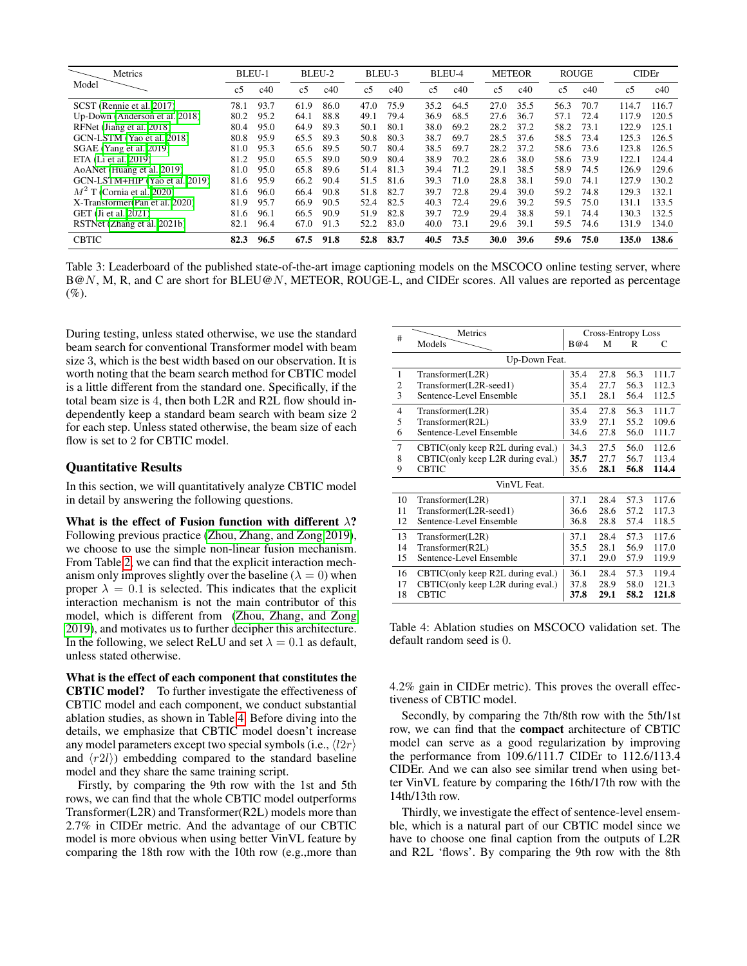<span id="page-5-1"></span>

| Metrics                         | BLEU-1         |      | BLEU-2         |      | BLEU-3         |      |                | BLEU-4 |                | <b>METEOR</b> |                | <b>ROUGE</b> | <b>CIDEr</b>   |       |
|---------------------------------|----------------|------|----------------|------|----------------|------|----------------|--------|----------------|---------------|----------------|--------------|----------------|-------|
| Model                           | c <sub>5</sub> | c40  | c <sub>5</sub> | c40  | c <sub>5</sub> | c40  | c <sub>5</sub> | c40    | c <sub>5</sub> | c40           | c <sub>5</sub> | c40          | c <sub>5</sub> | c40   |
| SCST (Rennie et al. 2017)       | 78.1           | 93.7 | 61.9           | 86.0 | 47.0           | 75.9 | 35.2           | 64.5   | 27.0           | 35.5          | 56.3           | 70.7         | 114.7          | 116.7 |
| Up-Down (Anderson et al. 2018)  | 80.2           | 95.2 | 64.1           | 88.8 | 49.1           | 79.4 | 36.9           | 68.5   | 27.6           | 36.7          | 57.1           | 72.4         | 117.9          | 120.5 |
| RFNet (Jiang et al. 2018)       | 80.4           | 95.0 | 64.9           | 89.3 | 50.1           | 80.1 | 38.0           | 69.2   | 28.2           | 37.2          | 58.2           | 73.1         | 122.9          | 125.1 |
| GCN-LSTM (Yao et al. 2018)      | 80.8           | 95.9 | 65.5           | 89.3 | 50.8           | 80.3 | 38.7           | 69.7   | 28.5           | 37.6          | 58.5           | 73.4         | 125.3          | 126.5 |
| SGAE (Yang et al. 2019)         | 81.0           | 95.3 | 65.6           | 89.5 | 50.7           | 80.4 | 38.5           | 69.7   | 28.2           | 37.2          | 58.6           | 73.6         | 123.8          | 126.5 |
| ETA (Li et al. 2019)            | 81.2           | 95.0 | 65.5           | 89.0 | 50.9           | 80.4 | 38.9           | 70.2   | 28.6           | 38.0          | 58.6           | 73.9         | 122.1          | 124.4 |
| AoANet (Huang et al. 2019)      | 81.0           | 95.0 | 65.8           | 89.6 | 51.4           | 81.3 | 39.4           | 71.2   | 29.1           | 38.5          | 58.9           | 74.5         | 126.9          | 129.6 |
| GCN-LSTM+HIP (Yao et al. 2019)  | 81.6           | 95.9 | 66.2           | 90.4 | 51.5           | 81.6 | 39.3           | 71.0   | 28.8           | 38.1          | 59.0           | 74.1         | 127.9          | 130.2 |
| $M2$ T (Cornia et al. 2020)     | 81.6           | 96.0 | 66.4           | 90.8 | 51.8           | 82.7 | 39.7           | 72.8   | 29.4           | 39.0          | 59.2           | 74.8         | 129.3          | 132.1 |
| X-Transformer (Pan et al. 2020) | 81.9           | 95.7 | 66.9           | 90.5 | 52.4           | 82.5 | 40.3           | 72.4   | 29.6           | 39.2          | 59.5           | 75.0         | 131.1          | 133.5 |
| GET (Ji et al. 2021)            | 81.6           | 96.1 | 66.5           | 90.9 | 51.9           | 82.8 | 39.7           | 72.9   | 29.4           | 38.8          | 59.1           | 74.4         | 130.3          | 132.5 |
| RSTNet (Zhang et al. 2021b)     | 82.1           | 96.4 | 67.0           | 91.3 | 52.2           | 83.0 | 40.0           | 73.1   | 29.6           | 39.1          | 59.5           | 74.6         | 131.9          | 134.0 |
| <b>CBTIC</b>                    | 82.3           | 96.5 | 67.5           | 91.8 | 52.8           | 83.7 | 40.5           | 73.5   | <b>30.0</b>    | 39.6          | 59.6           | 75.0         | 135.0          | 138.6 |

Table 3: Leaderboard of the published state-of-the-art image captioning models on the MSCOCO online testing server, where B@N, M, R, and C are short for BLEU@N, METEOR, ROUGE-L, and CIDEr scores. All values are reported as percentage  $(%).$ 

During testing, unless stated otherwise, we use the standard beam search for conventional Transformer model with beam size 3, which is the best width based on our observation. It is worth noting that the beam search method for CBTIC model is a little different from the standard one. Specifically, if the total beam size is 4, then both L2R and R2L flow should independently keep a standard beam search with beam size 2 for each step. Unless stated otherwise, the beam size of each flow is set to 2 for CBTIC model.

### Quantitative Results

In this section, we will quantitatively analyze CBTIC model in detail by answering the following questions.

What is the effect of Fusion function with different  $\lambda$ ? Following previous practice [\(Zhou, Zhang, and Zong 2019\)](#page-9-16), we choose to use the simple non-linear fusion mechanism. From Table [2,](#page-4-0) we can find that the explicit interaction mechanism only improves slightly over the baseline ( $\lambda = 0$ ) when proper  $\lambda = 0.1$  is selected. This indicates that the explicit interaction mechanism is not the main contributor of this model, which is different from [\(Zhou, Zhang, and Zong](#page-9-16) [2019\)](#page-9-16), and motivates us to further decipher this architecture. In the following, we select ReLU and set  $\lambda = 0.1$  as default, unless stated otherwise.

What is the effect of each component that constitutes the CBTIC model? To further investigate the effectiveness of CBTIC model and each component, we conduct substantial ablation studies, as shown in Table [4.](#page-5-0) Before diving into the details, we emphasize that CBTIC model doesn't increase any model parameters except two special symbols (i.e.,  $\langle l2r \rangle$ ) and  $\langle r2l\rangle$  embedding compared to the standard baseline model and they share the same training script.

Firstly, by comparing the 9th row with the 1st and 5th rows, we can find that the whole CBTIC model outperforms Transformer(L2R) and Transformer(R2L) models more than 2.7% in CIDEr metric. And the advantage of our CBTIC model is more obvious when using better VinVL feature by comparing the 18th row with the 10th row (e.g.,more than

<span id="page-5-0"></span>

| #              | Metrics                           |      | <b>Cross-Entropy Loss</b> |      |       |  |  |  |  |
|----------------|-----------------------------------|------|---------------------------|------|-------|--|--|--|--|
|                | Models                            | B@4  | М                         | R    | С     |  |  |  |  |
|                | Up-Down Feat.                     |      |                           |      |       |  |  |  |  |
| 1              | Transformer(L2R)                  | 35.4 | 27.8                      | 56.3 | 111.7 |  |  |  |  |
| 2              | Transformer(L2R-seed1)            | 35.4 | 27.7                      | 56.3 | 112.3 |  |  |  |  |
| 3              | Sentence-Level Ensemble           | 35.1 | 28.1                      | 56.4 | 112.5 |  |  |  |  |
| $\overline{4}$ | Transformer(L2R)                  | 35.4 | 27.8                      | 56.3 | 111.7 |  |  |  |  |
| 5              | Transformer(R2L)                  | 33.9 | 27.1                      | 55.2 | 109.6 |  |  |  |  |
| 6              | Sentence-Level Ensemble           | 34.6 | 27.8                      | 56.0 | 111.7 |  |  |  |  |
| 7              | CBTIC(only keep R2L during eval.) | 34.3 | 27.5                      | 56.0 | 112.6 |  |  |  |  |
| 8              | CBTIC(only keep L2R during eval.) | 35.7 | 27.7                      | 56.7 | 113.4 |  |  |  |  |
| 9              | CBTIC                             | 35.6 | 28.1                      | 56.8 | 114.4 |  |  |  |  |
|                | VinVL Feat.                       |      |                           |      |       |  |  |  |  |
| 10             | Transformer(L2R)                  | 37.1 | 28.4                      | 57.3 | 117.6 |  |  |  |  |
| 11             | Transformer(L2R-seed1)            | 36.6 | 28.6                      | 57.2 | 117.3 |  |  |  |  |
| 12             | Sentence-Level Ensemble           | 36.8 | 28.8                      | 57.4 | 118.5 |  |  |  |  |
| 13             | Transformer(L2R)                  | 37.1 | 28.4                      | 57.3 | 117.6 |  |  |  |  |
| 14             | Transformer(R2L)                  | 35.5 | 28.1                      | 56.9 | 117.0 |  |  |  |  |
| 15             | Sentence-Level Ensemble           | 37.1 | 29.0                      | 57.9 | 119.9 |  |  |  |  |
| 16             | CBTIC(only keep R2L during eval.) | 36.1 | 28.4                      | 57.3 | 119.4 |  |  |  |  |
| 17             | CBTIC(only keep L2R during eval.) | 37.8 | 28.9                      | 58.0 | 121.3 |  |  |  |  |
| 18             | <b>CBTIC</b>                      | 37.8 | 29.1                      | 58.2 | 121.8 |  |  |  |  |

Table 4: Ablation studies on MSCOCO validation set. The default random seed is 0.

4.2% gain in CIDEr metric). This proves the overall effectiveness of CBTIC model.

Secondly, by comparing the 7th/8th row with the 5th/1st row, we can find that the compact architecture of CBTIC model can serve as a good regularization by improving the performance from 109.6/111.7 CIDEr to 112.6/113.4 CIDEr. And we can also see similar trend when using better VinVL feature by comparing the 16th/17th row with the 14th/13th row.

Thirdly, we investigate the effect of sentence-level ensemble, which is a natural part of our CBTIC model since we have to choose one final caption from the outputs of L2R and R2L 'flows'. By comparing the 9th row with the 8th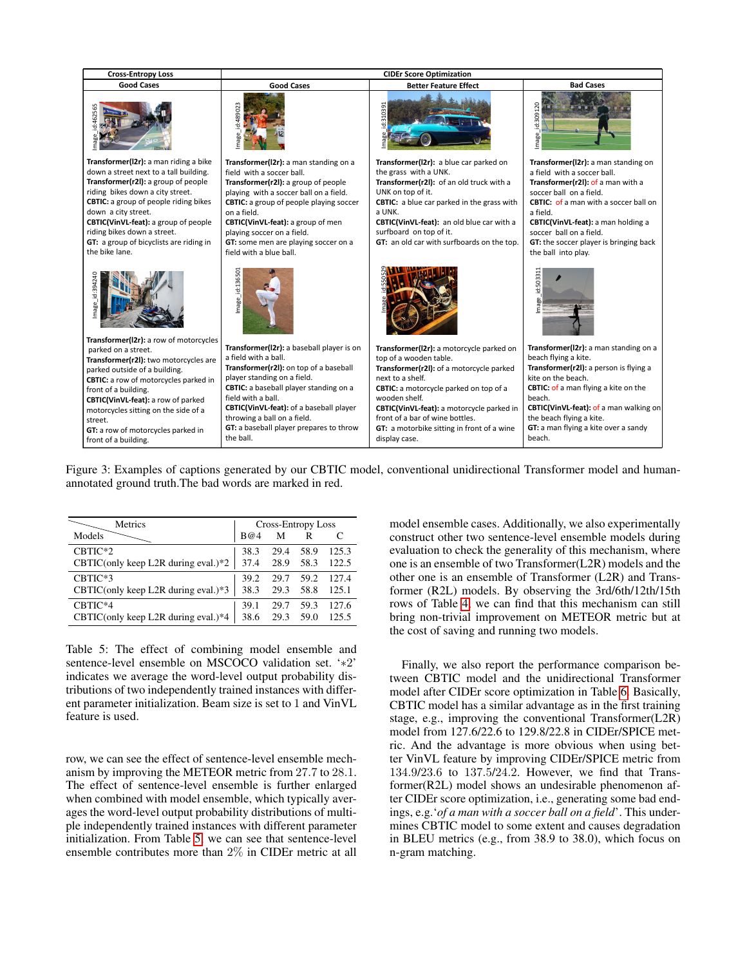<span id="page-6-1"></span>

Figure 3: Examples of captions generated by our CBTIC model, conventional unidirectional Transformer model and humanannotated ground truth.The bad words are marked in red.

<span id="page-6-0"></span>

| Metrics                               |      |      | <b>Cross-Entropy Loss</b> |       |
|---------------------------------------|------|------|---------------------------|-------|
| Models                                | B@4  | M    | R                         |       |
| CBTIC*2                               | 38.3 | 29.4 | 58.9                      | 125.3 |
| CBTIC(only keep L2R during eval.)*2   | 37.4 | 28.9 | 58.3                      | 122.5 |
| CBTIC*3                               | 39.2 | 29.7 | 59.2                      | 127.4 |
| CBTIC(only keep L2R during eval.)*3   | 38.3 | 29.3 | 58.8                      | 125.1 |
| CBTIC*4                               | 39.1 | 29.7 | 59.3                      | 127.6 |
| $CBTIC(only keep L2R during eval.)*4$ | 38.6 | 29.3 | 59.0                      | 125.5 |

Table 5: The effect of combining model ensemble and sentence-level ensemble on MSCOCO validation set. '∗2' indicates we average the word-level output probability distributions of two independently trained instances with different parameter initialization. Beam size is set to 1 and VinVL feature is used.

row, we can see the effect of sentence-level ensemble mechanism by improving the METEOR metric from 27.7 to 28.1. The effect of sentence-level ensemble is further enlarged when combined with model ensemble, which typically averages the word-level output probability distributions of multiple independently trained instances with different parameter initialization. From Table [5,](#page-6-0) we can see that sentence-level ensemble contributes more than 2% in CIDEr metric at all model ensemble cases. Additionally, we also experimentally construct other two sentence-level ensemble models during evaluation to check the generality of this mechanism, where one is an ensemble of two Transformer(L2R) models and the other one is an ensemble of Transformer (L2R) and Transformer (R2L) models. By observing the 3rd/6th/12th/15th rows of Table [4,](#page-5-0) we can find that this mechanism can still bring non-trivial improvement on METEOR metric but at the cost of saving and running two models.

Finally, we also report the performance comparison between CBTIC model and the unidirectional Transformer model after CIDEr score optimization in Table [6.](#page-7-7) Basically, CBTIC model has a similar advantage as in the first training stage, e.g., improving the conventional Transformer(L2R) model from 127.6/22.6 to 129.8/22.8 in CIDEr/SPICE metric. And the advantage is more obvious when using better VinVL feature by improving CIDEr/SPICE metric from 134.9/23.6 to 137.5/24.2. However, we find that Transformer(R2L) model shows an undesirable phenomenon after CIDEr score optimization, i.e., generating some bad endings, e.g.'*of a man with a soccer ball on a field*'. This undermines CBTIC model to some extent and causes degradation in BLEU metrics (e.g., from 38.9 to 38.0), which focus on n-gram matching.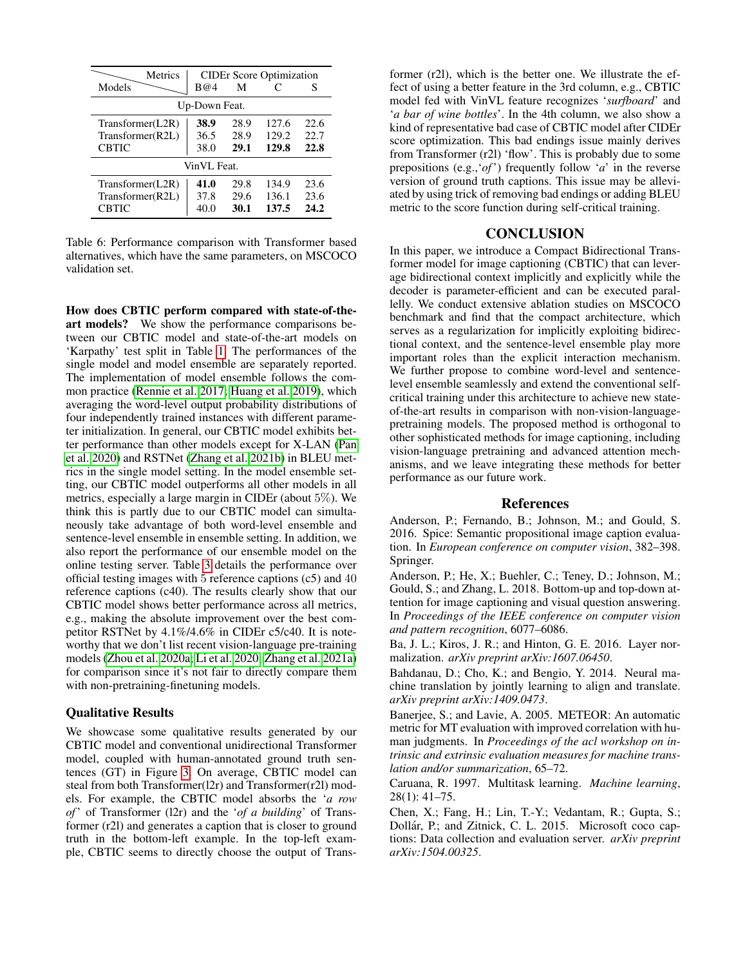<span id="page-7-7"></span>

| <b>Metrics</b>   |               |      | <b>CIDEr Score Optimization</b> |      |  |  |  |  |
|------------------|---------------|------|---------------------------------|------|--|--|--|--|
| Models           | B@4           | M    |                                 | S    |  |  |  |  |
|                  | Up-Down Feat. |      |                                 |      |  |  |  |  |
| Transformer(L2R) | 38.9          | 28.9 | 127.6                           | 22.6 |  |  |  |  |
| Transformer(R2L) | 36.5          | 28.9 | 129.2                           | 22.7 |  |  |  |  |
| <b>CBTIC</b>     | 38.0          | 29.1 | 129.8                           | 22.8 |  |  |  |  |
| VinVL Feat.      |               |      |                                 |      |  |  |  |  |
| Transformer(L2R) | 41.0          | 29.8 | 134.9                           | 23.6 |  |  |  |  |
| Transformer(R2L) | 37.8          | 29.6 | 136.1                           | 23.6 |  |  |  |  |
| <b>CBTIC</b>     | 40.0          | 30.1 | 137.5                           | 24.2 |  |  |  |  |

Table 6: Performance comparison with Transformer based alternatives, which have the same parameters, on MSCOCO validation set.

How does CBTIC perform compared with state-of-theart models? We show the performance comparisons between our CBTIC model and state-of-the-art models on 'Karpathy' test split in Table [1.](#page-4-1) The performances of the single model and model ensemble are separately reported. The implementation of model ensemble follows the common practice [\(Rennie et al. 2017;](#page-8-11) [Huang et al. 2019\)](#page-8-10), which averaging the word-level output probability distributions of four independently trained instances with different parameter initialization. In general, our CBTIC model exhibits better performance than other models except for X-LAN [\(Pan](#page-8-1) [et al. 2020\)](#page-8-1) and RSTNet [\(Zhang et al. 2021b\)](#page-9-2) in BLEU metrics in the single model setting. In the model ensemble setting, our CBTIC model outperforms all other models in all metrics, especially a large margin in CIDEr (about 5%). We think this is partly due to our CBTIC model can simultaneously take advantage of both word-level ensemble and sentence-level ensemble in ensemble setting. In addition, we also report the performance of our ensemble model on the online testing server. Table [3](#page-5-1) details the performance over official testing images with 5 reference captions (c5) and 40 reference captions (c40). The results clearly show that our CBTIC model shows better performance across all metrics, e.g., making the absolute improvement over the best competitor RSTNet by 4.1%/4.6% in CIDEr c5/c40. It is noteworthy that we don't list recent vision-language pre-training models [\(Zhou et al. 2020a;](#page-9-8) [Li et al. 2020;](#page-8-12) [Zhang et al. 2021a\)](#page-9-9) for comparison since it's not fair to directly compare them with non-pretraining-finetuning models.

### Qualitative Results

We showcase some qualitative results generated by our CBTIC model and conventional unidirectional Transformer model, coupled with human-annotated ground truth sentences (GT) in Figure [3.](#page-6-1) On average, CBTIC model can steal from both Transformer(l2r) and Transformer(r2l) models. For example, the CBTIC model absorbs the '*a row of*' of Transformer (l2r) and the '*of a building*' of Transformer (r2l) and generates a caption that is closer to ground truth in the bottom-left example. In the top-left example, CBTIC seems to directly choose the output of Trans-

former (r2l), which is the better one. We illustrate the effect of using a better feature in the 3rd column, e.g., CBTIC model fed with VinVL feature recognizes '*surfboard*' and '*a bar of wine bottles*'. In the 4th column, we also show a kind of representative bad case of CBTIC model after CIDEr score optimization. This bad endings issue mainly derives from Transformer (r2l) 'flow'. This is probably due to some prepositions (e.g.,'*of*') frequently follow '*a*' in the reverse version of ground truth captions. This issue may be alleviated by using trick of removing bad endings or adding BLEU metric to the score function during self-critical training.

# **CONCLUSION**

In this paper, we introduce a Compact Bidirectional Transformer model for image captioning (CBTIC) that can leverage bidirectional context implicitly and explicitly while the decoder is parameter-efficient and can be executed parallelly. We conduct extensive ablation studies on MSCOCO benchmark and find that the compact architecture, which serves as a regularization for implicitly exploiting bidirectional context, and the sentence-level ensemble play more important roles than the explicit interaction mechanism. We further propose to combine word-level and sentencelevel ensemble seamlessly and extend the conventional selfcritical training under this architecture to achieve new stateof-the-art results in comparison with non-vision-languagepretraining models. The proposed method is orthogonal to other sophisticated methods for image captioning, including vision-language pretraining and advanced attention mechanisms, and we leave integrating these methods for better performance as our future work.

### References

<span id="page-7-6"></span>Anderson, P.; Fernando, B.; Johnson, M.; and Gould, S. 2016. Spice: Semantic propositional image caption evaluation. In *European conference on computer vision*, 382–398. Springer.

<span id="page-7-0"></span>Anderson, P.; He, X.; Buehler, C.; Teney, D.; Johnson, M.; Gould, S.; and Zhang, L. 2018. Bottom-up and top-down attention for image captioning and visual question answering. In *Proceedings of the IEEE conference on computer vision and pattern recognition*, 6077–6086.

<span id="page-7-3"></span>Ba, J. L.; Kiros, J. R.; and Hinton, G. E. 2016. Layer normalization. *arXiv preprint arXiv:1607.06450*.

<span id="page-7-2"></span>Bahdanau, D.; Cho, K.; and Bengio, Y. 2014. Neural machine translation by jointly learning to align and translate. *arXiv preprint arXiv:1409.0473*.

<span id="page-7-5"></span>Banerjee, S.; and Lavie, A. 2005. METEOR: An automatic metric for MT evaluation with improved correlation with human judgments. In *Proceedings of the acl workshop on intrinsic and extrinsic evaluation measures for machine translation and/or summarization*, 65–72.

<span id="page-7-1"></span>Caruana, R. 1997. Multitask learning. *Machine learning*, 28(1): 41–75.

<span id="page-7-4"></span>Chen, X.; Fang, H.; Lin, T.-Y.; Vedantam, R.; Gupta, S.; Dollár, P.; and Zitnick, C. L. 2015. Microsoft coco captions: Data collection and evaluation server. *arXiv preprint arXiv:1504.00325*.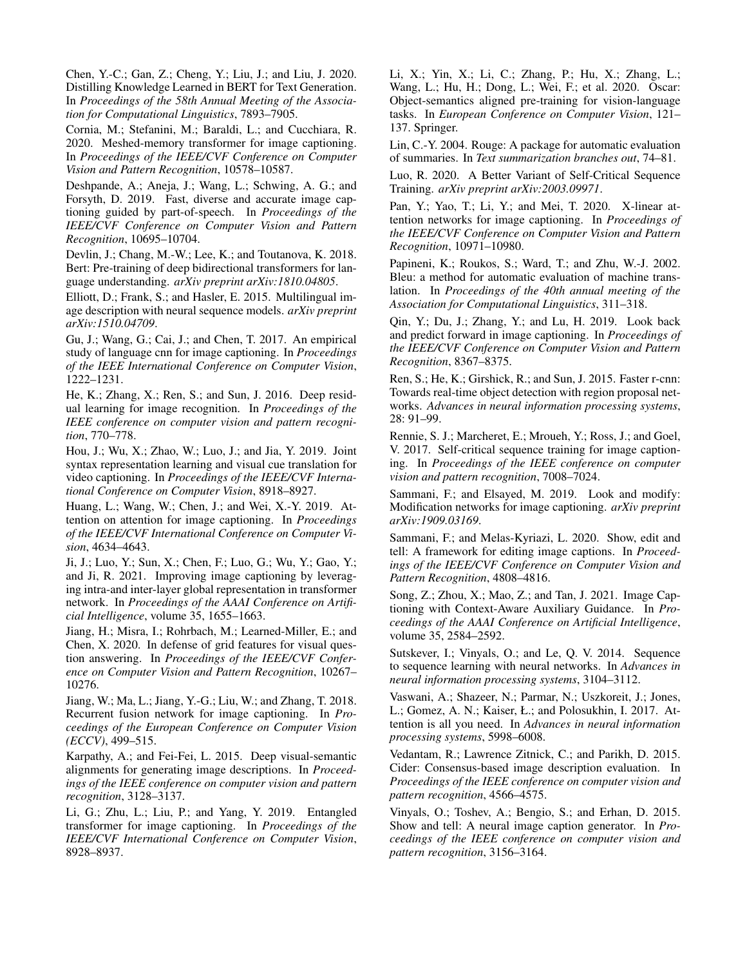<span id="page-8-16"></span>Chen, Y.-C.; Gan, Z.; Cheng, Y.; Liu, J.; and Liu, J. 2020. Distilling Knowledge Learned in BERT for Text Generation. In *Proceedings of the 58th Annual Meeting of the Association for Computational Linguistics*, 7893–7905.

<span id="page-8-9"></span>Cornia, M.; Stefanini, M.; Baraldi, L.; and Cucchiara, R. 2020. Meshed-memory transformer for image captioning. In *Proceedings of the IEEE/CVF Conference on Computer Vision and Pattern Recognition*, 10578–10587.

<span id="page-8-13"></span>Deshpande, A.; Aneja, J.; Wang, L.; Schwing, A. G.; and Forsyth, D. 2019. Fast, diverse and accurate image captioning guided by part-of-speech. In *Proceedings of the IEEE/CVF Conference on Computer Vision and Pattern Recognition*, 10695–10704.

<span id="page-8-17"></span>Devlin, J.; Chang, M.-W.; Lee, K.; and Toutanova, K. 2018. Bert: Pre-training of deep bidirectional transformers for language understanding. *arXiv preprint arXiv:1810.04805*.

<span id="page-8-15"></span>Elliott, D.; Frank, S.; and Hasler, E. 2015. Multilingual image description with neural sequence models. *arXiv preprint arXiv:1510.04709*.

<span id="page-8-8"></span>Gu, J.; Wang, G.; Cai, J.; and Chen, T. 2017. An empirical study of language cnn for image captioning. In *Proceedings of the IEEE International Conference on Computer Vision*, 1222–1231.

<span id="page-8-19"></span>He, K.; Zhang, X.; Ren, S.; and Sun, J. 2016. Deep residual learning for image recognition. In *Proceedings of the IEEE conference on computer vision and pattern recognition*, 770–778.

<span id="page-8-14"></span>Hou, J.; Wu, X.; Zhao, W.; Luo, J.; and Jia, Y. 2019. Joint syntax representation learning and visual cue translation for video captioning. In *Proceedings of the IEEE/CVF International Conference on Computer Vision*, 8918–8927.

<span id="page-8-10"></span>Huang, L.; Wang, W.; Chen, J.; and Wei, X.-Y. 2019. Attention on attention for image captioning. In *Proceedings of the IEEE/CVF International Conference on Computer Vision*, 4634–4643.

<span id="page-8-28"></span>Ji, J.; Luo, Y.; Sun, X.; Chen, F.; Luo, G.; Wu, Y.; Gao, Y.; and Ji, R. 2021. Improving image captioning by leveraging intra-and inter-layer global representation in transformer network. In *Proceedings of the AAAI Conference on Artificial Intelligence*, volume 35, 1655–1663.

<span id="page-8-7"></span>Jiang, H.; Misra, I.; Rohrbach, M.; Learned-Miller, E.; and Chen, X. 2020. In defense of grid features for visual question answering. In *Proceedings of the IEEE/CVF Conference on Computer Vision and Pattern Recognition*, 10267– 10276.

<span id="page-8-21"></span>Jiang, W.; Ma, L.; Jiang, Y.-G.; Liu, W.; and Zhang, T. 2018. Recurrent fusion network for image captioning. In *Proceedings of the European Conference on Computer Vision (ECCV)*, 499–515.

<span id="page-8-24"></span>Karpathy, A.; and Fei-Fei, L. 2015. Deep visual-semantic alignments for generating image descriptions. In *Proceedings of the IEEE conference on computer vision and pattern recognition*, 3128–3137.

<span id="page-8-27"></span>Li, G.; Zhu, L.; Liu, P.; and Yang, Y. 2019. Entangled transformer for image captioning. In *Proceedings of the IEEE/CVF International Conference on Computer Vision*, 8928–8937.

<span id="page-8-12"></span>Li, X.; Yin, X.; Li, C.; Zhang, P.; Hu, X.; Zhang, L.; Wang, L.; Hu, H.; Dong, L.; Wei, F.; et al. 2020. Oscar: Object-semantics aligned pre-training for vision-language tasks. In *European Conference on Computer Vision*, 121– 137. Springer.

<span id="page-8-26"></span>Lin, C.-Y. 2004. Rouge: A package for automatic evaluation of summaries. In *Text summarization branches out*, 74–81.

<span id="page-8-23"></span>Luo, R. 2020. A Better Variant of Self-Critical Sequence Training. *arXiv preprint arXiv:2003.09971*.

<span id="page-8-1"></span>Pan, Y.; Yao, T.; Li, Y.; and Mei, T. 2020. X-linear attention networks for image captioning. In *Proceedings of the IEEE/CVF Conference on Computer Vision and Pattern Recognition*, 10971–10980.

<span id="page-8-25"></span>Papineni, K.; Roukos, S.; Ward, T.; and Zhu, W.-J. 2002. Bleu: a method for automatic evaluation of machine translation. In *Proceedings of the 40th annual meeting of the Association for Computational Linguistics*, 311–318.

<span id="page-8-22"></span>Qin, Y.; Du, J.; Zhang, Y.; and Lu, H. 2019. Look back and predict forward in image captioning. In *Proceedings of the IEEE/CVF Conference on Computer Vision and Pattern Recognition*, 8367–8375.

<span id="page-8-18"></span>Ren, S.; He, K.; Girshick, R.; and Sun, J. 2015. Faster r-cnn: Towards real-time object detection with region proposal networks. *Advances in neural information processing systems*, 28: 91–99.

<span id="page-8-11"></span>Rennie, S. J.; Marcheret, E.; Mroueh, Y.; Ross, J.; and Goel, V. 2017. Self-critical sequence training for image captioning. In *Proceedings of the IEEE conference on computer vision and pattern recognition*, 7008–7024.

<span id="page-8-4"></span>Sammani, F.; and Elsayed, M. 2019. Look and modify: Modification networks for image captioning. *arXiv preprint arXiv:1909.03169*.

<span id="page-8-5"></span>Sammani, F.; and Melas-Kyriazi, L. 2020. Show, edit and tell: A framework for editing image captions. In *Proceedings of the IEEE/CVF Conference on Computer Vision and Pattern Recognition*, 4808–4816.

<span id="page-8-6"></span>Song, Z.; Zhou, X.; Mao, Z.; and Tan, J. 2021. Image Captioning with Context-Aware Auxiliary Guidance. In *Proceedings of the AAAI Conference on Artificial Intelligence*, volume 35, 2584–2592.

<span id="page-8-2"></span>Sutskever, I.; Vinyals, O.; and Le, Q. V. 2014. Sequence to sequence learning with neural networks. In *Advances in neural information processing systems*, 3104–3112.

<span id="page-8-3"></span>Vaswani, A.; Shazeer, N.; Parmar, N.; Uszkoreit, J.; Jones, L.; Gomez, A. N.; Kaiser, Ł.; and Polosukhin, I. 2017. Attention is all you need. In *Advances in neural information processing systems*, 5998–6008.

<span id="page-8-20"></span>Vedantam, R.; Lawrence Zitnick, C.; and Parikh, D. 2015. Cider: Consensus-based image description evaluation. In *Proceedings of the IEEE conference on computer vision and pattern recognition*, 4566–4575.

<span id="page-8-0"></span>Vinyals, O.; Toshev, A.; Bengio, S.; and Erhan, D. 2015. Show and tell: A neural image caption generator. In *Proceedings of the IEEE conference on computer vision and pattern recognition*, 3156–3164.